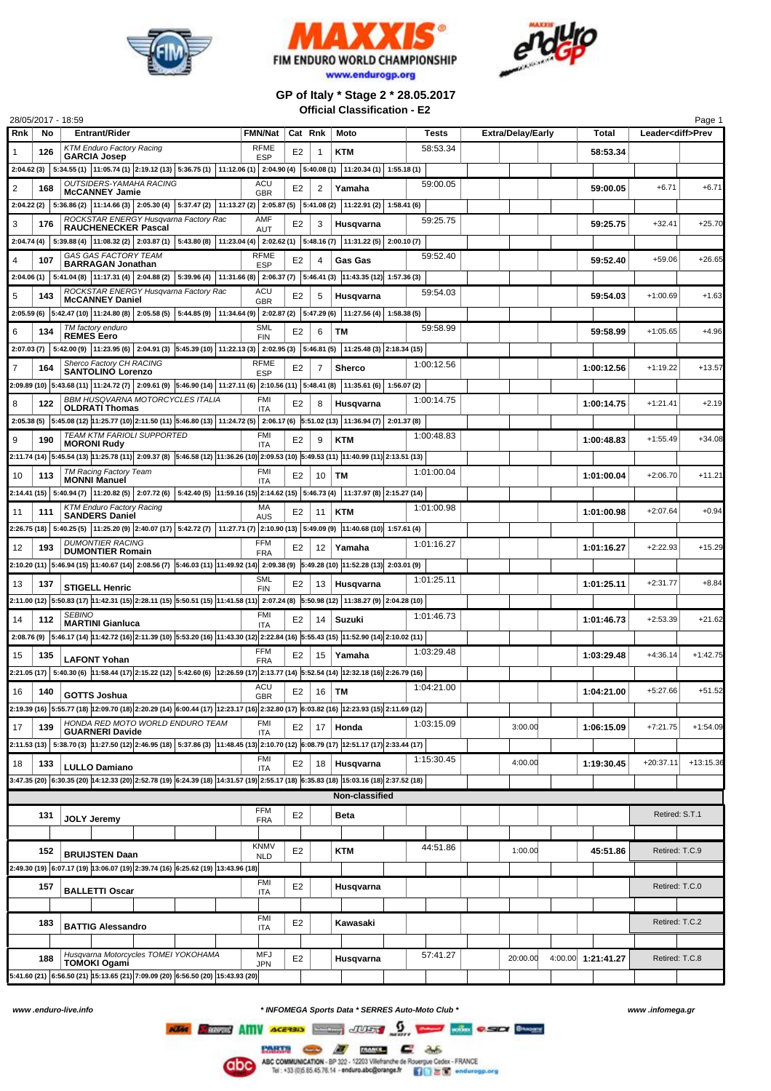





**GP of Italy \* Stage 2 \* 28.05.2017 Official Classification - E2**

| 28/05/2017 - 18:59                                                                                                                   |     |                                                                                                                                                              |                           |                |                |                 |                |            |            |                          |                    |                          | Page 1      |
|--------------------------------------------------------------------------------------------------------------------------------------|-----|--------------------------------------------------------------------------------------------------------------------------------------------------------------|---------------------------|----------------|----------------|-----------------|----------------|------------|------------|--------------------------|--------------------|--------------------------|-------------|
| Rnk                                                                                                                                  | No  | <b>Entrant/Rider</b>                                                                                                                                         | <b>FMN/Nat</b>            |                | Cat Rnk        |                 | Moto           |            | Tests      | <b>Extra/Delay/Early</b> | Total              | Leader <diff>Prev</diff> |             |
|                                                                                                                                      | 126 | <b>KTM Enduro Factory Racing</b><br><b>GARCIA Josep</b>                                                                                                      | <b>RFME</b><br><b>ESP</b> | E2             |                | -1              | <b>KTM</b>     |            | 58:53.34   |                          | 58:53.34           |                          |             |
|                                                                                                                                      |     | $2:04.62(3)$ $5:34.55(1)$ $11:05.74(1)$ $2:19.12(13)$ $5:36.75(1)$ $11:12.06(1)$ $2:04.90(4)$ $5:40.08(1)$ $11:20.34(1)$ $1:55.18(1)$                        |                           |                |                |                 |                |            |            |                          |                    |                          |             |
| 2                                                                                                                                    | 168 | OUTSIDERS-YAMAHA RACING                                                                                                                                      | <b>ACU</b>                | E2             |                | 2               | Yamaha         |            | 59:00.05   |                          | 59:00.05           | $+6.71$                  | $+6.71$     |
|                                                                                                                                      |     | <b>McCANNEY Jamie</b>                                                                                                                                        | <b>GBR</b>                |                |                |                 |                |            |            |                          |                    |                          |             |
|                                                                                                                                      |     | 2:04.22 (2) 5:36.86 (2) 11:14.66 (3) 2:05.30 (4) 5:37.47 (2) 11:13.27 (2) 2:05.87 (5) 5:41.08 (2) 11:22.91 (2)                                               |                           |                |                |                 |                | 1:58.41(6) |            |                          |                    |                          |             |
| 3                                                                                                                                    | 176 | ROCKSTAR ENERGY Husqvarna Factory Rac<br><b>RAUCHENECKER Pascal</b>                                                                                          | AMF<br>AUT                | E2             |                | 3               | Husqvarna      |            | 59:25.75   |                          | 59:25.75           | $+32.41$                 | $+25.70$    |
|                                                                                                                                      |     | 2:04.74 (4) 5:39.88 (4) 11:08.32 (2) 2:03.87 (1) 5:43.80 (8) 11:23.04 (4) 2:02.62 (1) 5:48.16 (7) 11:31.22 (5) 2:00.10 (7)                                   |                           |                |                |                 |                |            |            |                          |                    |                          |             |
| 4                                                                                                                                    | 107 | GAS GAS FACTORY TEAM<br><b>BARRAGAN Jonathan</b>                                                                                                             | <b>RFME</b>               | E2             |                | 4               | <b>Gas Gas</b> |            | 59:52.40   |                          | 59:52.40           | +59.06                   | $+26.65$    |
|                                                                                                                                      |     | 2:04.06 (1) 5:41.04 (8) 11:17.31 (4) 2:04.88 (2) 5:39.96 (4) 11:31.66 (8) 2:06.37 (7) 5:46.41 (3) 11:43.35 (12) 1:57.36 (3)                                  | <b>ESP</b>                |                |                |                 |                |            |            |                          |                    |                          |             |
|                                                                                                                                      |     | ROCKSTAR ENERGY Husqvarna Factory Rac                                                                                                                        | ACU                       |                |                |                 |                |            | 59:54.03   |                          |                    |                          |             |
| 5                                                                                                                                    | 143 | <b>McCANNEY Daniel</b>                                                                                                                                       | <b>GBR</b>                | E2             |                | 5               | Husqvarna      |            |            |                          | 59:54.03           | $+1:00.69$               | $+1.63$     |
|                                                                                                                                      |     | 2:05.59 (6) 5:42.47 (10) 11:24.80 (8) 2:05.58 (5) 5:44.85 (9) 11:34.64 (9) 2:02.87 (2) 5:47.29 (6) 11:27.56 (4) 1:58.38 (5)                                  |                           |                |                |                 |                |            |            |                          |                    |                          |             |
| 6                                                                                                                                    | 134 | TM factory enduro<br><b>REMES Eero</b>                                                                                                                       | <b>SML</b><br><b>FIN</b>  | E2             |                | 6               | ТM             |            | 59:58.99   |                          | 59:58.99           | $+1:05.65$               | $+4.96$     |
|                                                                                                                                      |     | 2:07.03 (7) 5:42.00 (9) 11:23.95 (6) 2:04.91 (3) 5:45.39 (10) 11:22.13 (3) 2:02.95 (3) 5:46.81 (5) 11:25.48 (3) 2:18.34 (15)                                 |                           |                |                |                 |                |            |            |                          |                    |                          |             |
|                                                                                                                                      | 164 | Sherco Factory CH RACING<br><b>SANTOLINO Lorenzo</b>                                                                                                         | <b>RFME</b>               | E2             |                | $\overline{7}$  | <b>Sherco</b>  |            | 1:00:12.56 |                          | 1:00:12.56         | $+1:19.22$               | $+13.57$    |
|                                                                                                                                      |     | 2:09.89 (10) $ 5:43.68$ (11) $ 11:24.72$ (7) $ 2:09.61$ (9) $ 5:46.90$ (14) $ 11:27.11$ (6) $ 2:10.56$ (11) $ 5:48.41$ (8) $ 11:35.61$ (6)                   | <b>ESP</b>                |                |                |                 |                | 1:56.07(2) |            |                          |                    |                          |             |
|                                                                                                                                      |     | <b>BBM HUSQVARNA MOTORCYCLES ITALIA</b>                                                                                                                      | <b>FMI</b>                |                |                |                 |                |            | 1:00:14.75 |                          |                    |                          |             |
| 8                                                                                                                                    | 122 | <b>OLDRATI Thomas</b>                                                                                                                                        | <b>ITA</b>                | E2             |                | 8               | Husqvarna      |            |            |                          | 1:00:14.75         | $+1:21.41$               | $+2.19$     |
|                                                                                                                                      |     | 2:05.38 (5) 5:45.08 (12) 11:25.77 (10) 2:11.50 (11) 5:46.80 (13) 11:24.72 (5) 2:06.17 (6) 5:51.02 (13) 11:36.94 (7) 2:01.37 (8)                              |                           |                |                |                 |                |            |            |                          |                    |                          |             |
| 9                                                                                                                                    | 190 | TEAM KTM FARIOLI SUPPORTED<br><b>MORONI Rudy</b>                                                                                                             | <b>FMI</b><br><b>ITA</b>  | E2             |                | 9               | <b>KTM</b>     |            | 1:00:48.83 |                          | 1:00:48.83         | $+1:55.49$               | $+34.08$    |
|                                                                                                                                      |     | 2:11.74 (14) 5:45.54 (13) 5:45.54 (13) 11:25.78 (11) 2:09.37 (8) 5:46.58 (12) 11:36.26 (10) 2:09.53 (10) 5:49.53 (11) 11:40.99 (11) 2:13.51 (13)             |                           |                |                |                 |                |            |            |                          |                    |                          |             |
| 10                                                                                                                                   | 113 | TM Racing Factory Team<br><b>MONNI Manuel</b>                                                                                                                | <b>FMI</b>                | E <sub>2</sub> |                | 10              | <b>TM</b>      |            | 1:01:00.04 |                          | 1:01:00.04         | $+2:06.70$               | +11.21      |
|                                                                                                                                      |     | 2:14.41 (15) 5:40.94 (7) 11:20.82 (5) 2:07.72 (6) 5:42.40 (5) 11:59.16 (15) 2:14.62 (15) 5:46.73 (4) 11:37.97 (8) 2:15.27 (14)                               | <b>ITA</b>                |                |                |                 |                |            |            |                          |                    |                          |             |
|                                                                                                                                      |     | <b>KTM Enduro Factory Racing</b>                                                                                                                             | MA                        |                |                |                 |                |            | 1:01:00.98 |                          |                    | $+2:07.64$               | $+0.94$     |
| 11                                                                                                                                   | 111 | <b>SANDERS Daniel</b>                                                                                                                                        | AUS                       | E2             |                | 11              | <b>KTM</b>     |            |            |                          | 1:01:00.98         |                          |             |
|                                                                                                                                      |     | 2:26.75 (18) 5:40.25 (5) 11:25.20 (9) 2:40.07 (17) 5:42.72 (7) 11:27.71 (7) 2:10.90 (13) 5:49.09 (9) 11:40.68 (10) 1:57.61 (4)                               |                           |                |                |                 |                |            |            |                          |                    |                          |             |
| 12                                                                                                                                   | 193 | <b>DUMONTIER RACING</b><br><b>DUMONTIER Romain</b>                                                                                                           | FFM<br><b>FRA</b>         | E <sub>2</sub> |                | 12              | Yamaha         |            | 1:01:16.27 |                          | 1:01:16.27         | $+2:22.93$               | $+15.29$    |
|                                                                                                                                      |     | 2:10.20 (11) 5:46.94 (15) 11:40.67 (14) 2:08.56 (7) 5:46.03 (11) 11:49.92 (14) 2:09.38 (9) 5:49.28 (10) 11:52.28 (13) 2:03.01 (9)                            |                           |                |                |                 |                |            |            |                          |                    |                          |             |
| 13                                                                                                                                   | 137 | <b>STIGELL Henric</b>                                                                                                                                        | <b>SML</b><br><b>FIN</b>  | E2             |                | 13              | Husqvarna      |            | 1:01:25.11 |                          | 1:01:25.11         | $+2:31.77$               | $+8.84$     |
|                                                                                                                                      |     | 2:11.00 (12) 5:50.83 (17) 11:42.31 (15) 2:28.11 (15) 5:50.51 (15) 11:41.58 (11) 2:07.24 (8) 5:50.98 (12) 11:38.27 (9) 2:04.28 (10)                           |                           |                |                |                 |                |            |            |                          |                    |                          |             |
| 14                                                                                                                                   | 112 | <b>SEBINO</b>                                                                                                                                                | FMI                       | E2             |                | 14              | Suzuki         |            | 1:01:46.73 |                          | 1:01:46.73         | $+2:53.39$               | +21.62      |
|                                                                                                                                      |     | <b>MARTINI Gianluca</b>                                                                                                                                      | <b>ITA</b>                |                |                |                 |                |            |            |                          |                    |                          |             |
|                                                                                                                                      |     | 2:08.76 (9) 5:46.17 (14) 11:42.72 (16) 2:11.39 (10) 5:53.20 (16) 11:43.30 (12) 2:22.84 (16) 5:55.43 (15) 11:52.90 (14) 2:10.02 (11)                          | <b>FFM</b>                |                |                |                 |                |            | 1:03:29.48 |                          |                    |                          |             |
| 15                                                                                                                                   | 135 | <b>LAFONT Yohan</b>                                                                                                                                          | <b>FRA</b>                | E2             |                | 15              | Yamaha         |            |            |                          | 1:03:29.48         | $+4:36.14$               | $+1:42.75$  |
|                                                                                                                                      |     | 2:21.05 (17) 5:40.30 (6) 11:58.44 (17) 2:15.22 (12) 5:42.60 (6) 12:26.59 (17) 2:13.77 (14) 5:52.54 (14) 12:32.18 (16) 2:26.79 (16)                           |                           |                |                |                 |                |            |            |                          |                    |                          |             |
| 16                                                                                                                                   | 140 | GOTTS Joshua                                                                                                                                                 | ACU<br><b>GBR</b>         |                | E <sub>2</sub> | $16$ TM         |                |            | 1:04:21.00 |                          | 1:04:21.00         | $+5:27.66$               | $+51.52$    |
|                                                                                                                                      |     | 2:19.39 (16) 5:55.77 (18) 12:09.70 (18) 2:20.29 (14) 6:00.44 (17) 12:23.17 (16) 2:32.80 (17) 6:03.82 (16) 12:23.93 (15) 2:11.69 (12)                         |                           |                |                |                 |                |            |            |                          |                    |                          |             |
| 17                                                                                                                                   | 139 | HONDA RED MOTO WORLD ENDURO TEAM                                                                                                                             | FMI                       |                | E <sub>2</sub> | 17 <sup>1</sup> | Honda          |            | 1:03:15.09 | 3:00.00                  | 1:06:15.09         | $+7:21.75$               | $+1:54.09$  |
|                                                                                                                                      |     | <b>GUARNERI Davide</b><br>2:11.53 (13) 5:38.70 (3) 11:27.50 (12) 2:46.95 (18) 5:37.86 (3) 11:48.45 (13) 2:10.70 (12) 6:08.79 (17) 12:51.17 (17) 2:33.44 (17) | <b>ITA</b>                |                |                |                 |                |            |            |                          |                    |                          |             |
|                                                                                                                                      |     |                                                                                                                                                              | <b>FMI</b>                |                |                |                 |                |            | 1:15:30.45 |                          |                    |                          |             |
| 18                                                                                                                                   | 133 | <b>LULLO Damiano</b>                                                                                                                                         | <b>ITA</b>                |                | E <sub>2</sub> |                 | 18 Husqvarna   |            |            | 4:00.00                  | 1:19:30.45         | $+20:37.11$              | $+13:15.36$ |
| 3:47.35 (20) 6:30.35 (20) 14:12.33 (20) 2:52.78 (19) 6:24.39 (18) 14:31.57 (19) 2:55.17 (18) 6:35.83 (18) 15:03.16 (18) 2:37.52 (18) |     |                                                                                                                                                              |                           |                |                |                 |                |            |            |                          |                    |                          |             |
| Non-classified                                                                                                                       |     |                                                                                                                                                              |                           |                |                |                 |                |            |            |                          |                    |                          |             |
|                                                                                                                                      | 131 | <b>JOLY Jeremy</b>                                                                                                                                           | <b>FFM</b><br><b>FRA</b>  | E <sub>2</sub> |                |                 | <b>Beta</b>    |            |            |                          |                    | Retired: S.T.1           |             |
|                                                                                                                                      |     |                                                                                                                                                              |                           |                |                |                 |                |            |            |                          |                    |                          |             |
|                                                                                                                                      | 152 |                                                                                                                                                              | KNMV                      | E <sub>2</sub> |                |                 | KTM            |            | 44:51.86   | 1:00.00                  | 45:51.86           | Retired: T.C.9           |             |
|                                                                                                                                      |     | <b>BRUIJSTEN Daan</b><br>2:49.30 (19) 6:07.17 (19) 13:06.07 (19) 2:39.74 (16) 6:25.62 (19) 13:43.96 (18)                                                     | <b>NLD</b>                |                |                |                 |                |            |            |                          |                    |                          |             |
|                                                                                                                                      |     |                                                                                                                                                              | FMI                       |                |                |                 |                |            |            |                          |                    |                          |             |
|                                                                                                                                      | 157 | <b>BALLETTI Oscar</b>                                                                                                                                        | <b>ITA</b>                | E <sub>2</sub> |                |                 | Husqvarna      |            |            |                          |                    | Retired: T.C.0           |             |
|                                                                                                                                      |     |                                                                                                                                                              |                           |                |                |                 |                |            |            |                          |                    |                          |             |
|                                                                                                                                      | 183 | <b>BATTIG Alessandro</b>                                                                                                                                     | <b>FMI</b><br><b>ITA</b>  | E2             |                |                 | Kawasaki       |            |            |                          |                    | Retired: T.C.2           |             |
|                                                                                                                                      |     |                                                                                                                                                              |                           |                |                |                 |                |            |            |                          |                    |                          |             |
|                                                                                                                                      | 188 | Husqvarna Motorcycles TOMEI YOKOHAMA                                                                                                                         | <b>MFJ</b>                | E <sub>2</sub> |                |                 | Husqvarna      |            | 57:41.27   | 20:00.00                 | 4:00.00 1:21:41.27 | Retired: T.C.8           |             |
|                                                                                                                                      |     | <b>TOMOKI Ogami</b>                                                                                                                                          | <b>JPN</b>                |                |                |                 |                |            |            |                          |                    |                          |             |
|                                                                                                                                      |     | 5:41.60 (21) 6:56.50 (21) 15:13.65 (21) 7:09.09 (20) 6:56.50 (20) 15:43.93 (20)                                                                              |                           |                |                |                 |                |            |            |                          |                    |                          |             |

*www .enduro-live.info \* INFOMEGA Sports Data \* SERRES Auto-Moto Club \* www .infomega.gr*

King Shows AMV ACCRES DE JUST 9 1999 With CSO Brown

**PARTS COD AV EXITED C A**<sub>D</sub><br>ABC COMMUNICATION - BP 322 - 12203 Villefranche de Roompus Cedex - FRANCE<br>Tel : +33 (0)5.65.45.76.14 - endure.abo@evange.fr **CODE C** enduropp.org